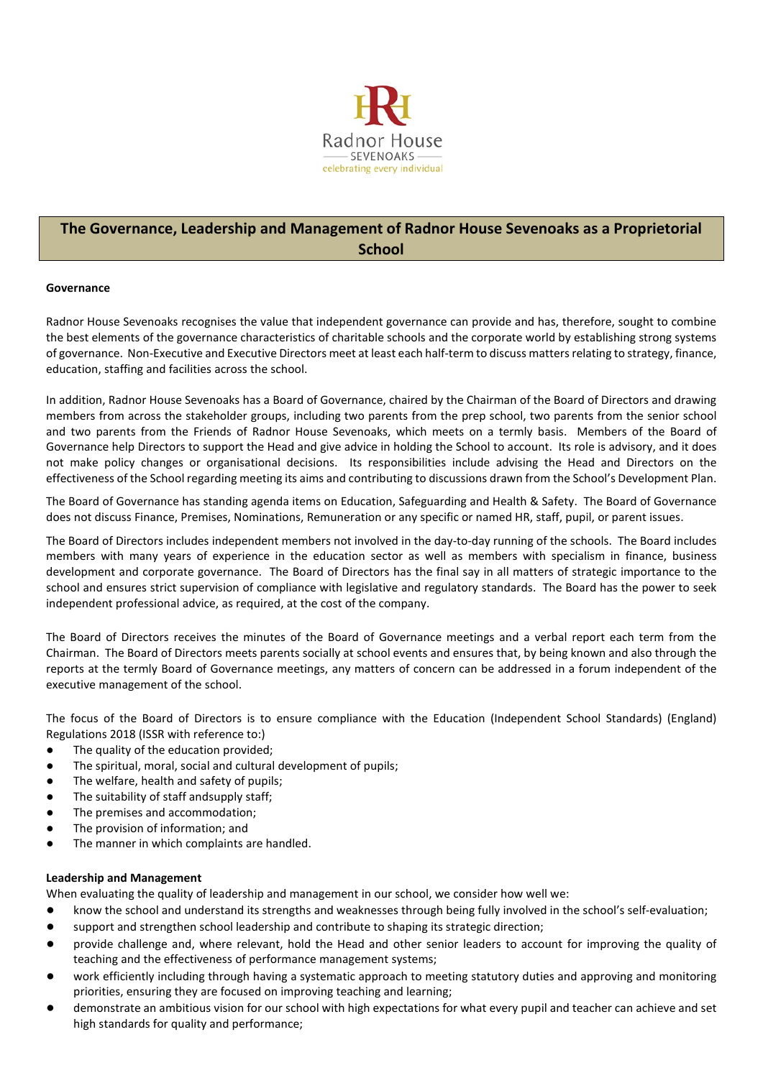

# **The Governance, Leadership and Management of Radnor House Sevenoaks as a Proprietorial School**

### **Governance**

Radnor House Sevenoaks recognises the value that independent governance can provide and has, therefore, sought to combine the best elements of the governance characteristics of charitable schools and the corporate world by establishing strong systems of governance. Non-Executive and Executive Directors meet at least each half-term to discuss mattersrelating to strategy, finance, education, staffing and facilities across the school.

In addition, Radnor House Sevenoaks has a Board of Governance, chaired by the Chairman of the Board of Directors and drawing members from across the stakeholder groups, including two parents from the prep school, two parents from the senior school and two parents from the Friends of Radnor House Sevenoaks, which meets on a termly basis. Members of the Board of Governance help Directors to support the Head and give advice in holding the School to account. Its role is advisory, and it does not make policy changes or organisational decisions. Its responsibilities include advising the Head and Directors on the effectiveness of the School regarding meeting its aims and contributing to discussions drawn from the School's Development Plan.

The Board of Governance has standing agenda items on Education, Safeguarding and Health & Safety. The Board of Governance does not discuss Finance, Premises, Nominations, Remuneration or any specific or named HR, staff, pupil, or parent issues.

The Board of Directors includes independent members not involved in the day-to-day running of the schools. The Board includes members with many years of experience in the education sector as well as members with specialism in finance, business development and corporate governance. The Board of Directors has the final say in all matters of strategic importance to the school and ensures strict supervision of compliance with legislative and regulatory standards. The Board has the power to seek independent professional advice, as required, at the cost of the company.

The Board of Directors receives the minutes of the Board of Governance meetings and a verbal report each term from the Chairman. The Board of Directors meets parents socially at school events and ensures that, by being known and also through the reports at the termly Board of Governance meetings, any matters of concern can be addressed in a forum independent of the executive management of the school.

The focus of the Board of Directors is to ensure compliance with the Education (Independent School Standards) (England) Regulations 2018 (ISSR with reference to:)

- The quality of the education provided;
- The spiritual, moral, social and cultural development of pupils;
- The welfare, health and safety of pupils;
- The suitability of staff andsupply staff;
- The premises and accommodation;
- The provision of information; and
- The manner in which complaints are handled.

## **Leadership and Management**

When evaluating the quality of leadership and management in our school, we consider how well we:

- know the school and understand its strengths and weaknesses through being fully involved in the school's self-evaluation;
- support and strengthen school leadership and contribute to shaping its strategic direction;
- provide challenge and, where relevant, hold the Head and other senior leaders to account for improving the quality of teaching and the effectiveness of performance management systems;
- work efficiently including through having a systematic approach to meeting statutory duties and approving and monitoring priorities, ensuring they are focused on improving teaching and learning;
- demonstrate an ambitious vision for our school with high expectations for what every pupil and teacher can achieve and set high standards for quality and performance;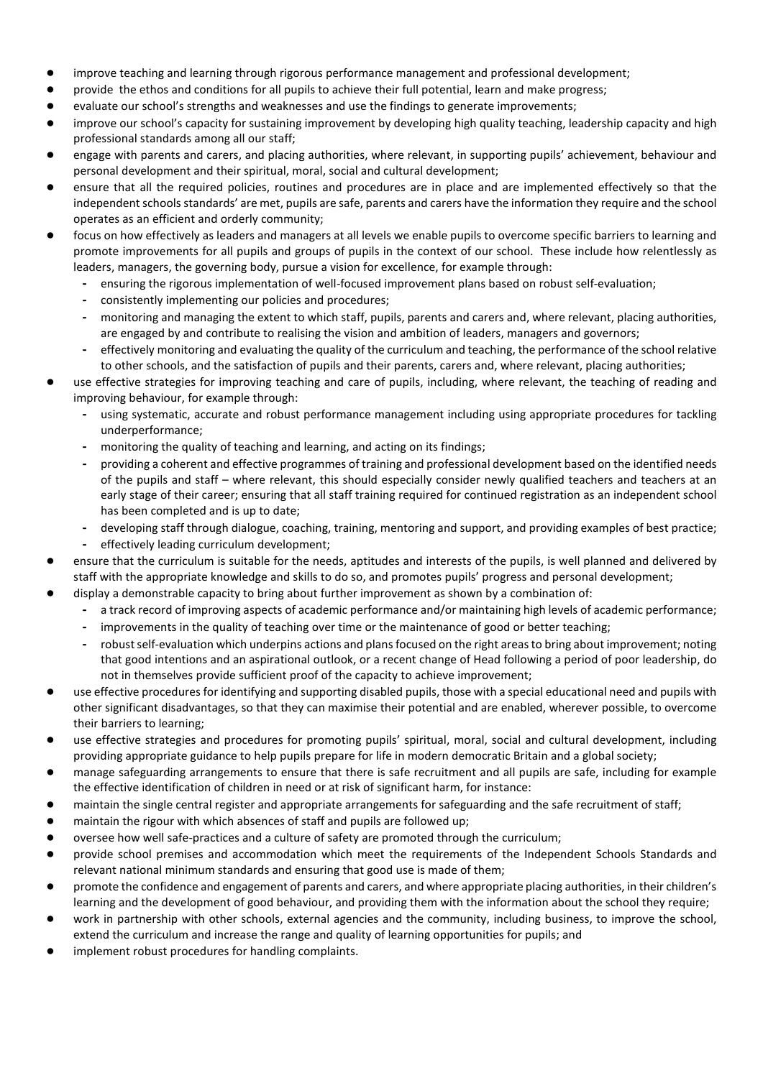- improve teaching and learning through rigorous performance management and professional development;
- provide the ethos and conditions for all pupils to achieve their full potential, learn and make progress;
- evaluate our school's strengths and weaknesses and use the findings to generate improvements;
- improve our school's capacity for sustaining improvement by developing high quality teaching, leadership capacity and high professional standards among all our staff;
- engage with parents and carers, and placing authorities, where relevant, in supporting pupils' achievement, behaviour and personal development and their spiritual, moral, social and cultural development;
- ensure that all the required policies, routines and procedures are in place and are implemented effectively so that the independent schools standards' are met, pupils are safe, parents and carers have the information they require and the school operates as an efficient and orderly community;
- focus on how effectively as leaders and managers at all levels we enable pupils to overcome specific barriers to learning and promote improvements for all pupils and groups of pupils in the context of our school. These include how relentlessly as leaders, managers, the governing body, pursue a vision for excellence, for example through:
	- **-** ensuring the rigorous implementation of well-focused improvement plans based on robust self-evaluation;
	- **-** consistently implementing our policies and procedures;
	- **-** monitoring and managing the extent to which staff, pupils, parents and carers and, where relevant, placing authorities, are engaged by and contribute to realising the vision and ambition of leaders, managers and governors;
	- **-** effectively monitoring and evaluating the quality of the curriculum and teaching, the performance of the school relative to other schools, and the satisfaction of pupils and their parents, carers and, where relevant, placing authorities;
- use effective strategies for improving teaching and care of pupils, including, where relevant, the teaching of reading and improving behaviour, for example through:
	- **-** using systematic, accurate and robust performance management including using appropriate procedures for tackling underperformance;
	- **-** monitoring the quality of teaching and learning, and acting on its findings;
	- **-** providing a coherent and effective programmes of training and professional development based on the identified needs of the pupils and staff – where relevant, this should especially consider newly qualified teachers and teachers at an early stage of their career; ensuring that all staff training required for continued registration as an independent school has been completed and is up to date;
	- **-** developing staff through dialogue, coaching, training, mentoring and support, and providing examples of best practice;
	- **-** effectively leading curriculum development;
- ensure that the curriculum is suitable for the needs, aptitudes and interests of the pupils, is well planned and delivered by staff with the appropriate knowledge and skills to do so, and promotes pupils' progress and personal development;
- display a demonstrable capacity to bring about further improvement as shown by a combination of:
	- **-** a track record of improving aspects of academic performance and/or maintaining high levels of academic performance;
	- **-** improvements in the quality of teaching over time or the maintenance of good or better teaching;
	- **-** robust self-evaluation which underpins actions and plans focused on the right areas to bring about improvement; noting that good intentions and an aspirational outlook, or a recent change of Head following a period of poor leadership, do not in themselves provide sufficient proof of the capacity to achieve improvement;
- use effective procedures for identifying and supporting disabled pupils, those with a special educational need and pupils with other significant disadvantages, so that they can maximise their potential and are enabled, wherever possible, to overcome their barriers to learning;
- use effective strategies and procedures for promoting pupils' spiritual, moral, social and cultural development, including providing appropriate guidance to help pupils prepare for life in modern democratic Britain and a global society;
- manage safeguarding arrangements to ensure that there is safe recruitment and all pupils are safe, including for example the effective identification of children in need or at risk of significant harm, for instance:
- maintain the single central register and appropriate arrangements for safeguarding and the safe recruitment of staff;
- maintain the rigour with which absences of staff and pupils are followed up;
- oversee how well safe-practices and a culture of safety are promoted through the curriculum;
- provide school premises and accommodation which meet the requirements of the Independent Schools Standards and relevant national minimum standards and ensuring that good use is made of them;
- promote the confidence and engagement of parents and carers, and where appropriate placing authorities, in their children's learning and the development of good behaviour, and providing them with the information about the school they require;
- work in partnership with other schools, external agencies and the community, including business, to improve the school, extend the curriculum and increase the range and quality of learning opportunities for pupils; and
- implement robust procedures for handling complaints.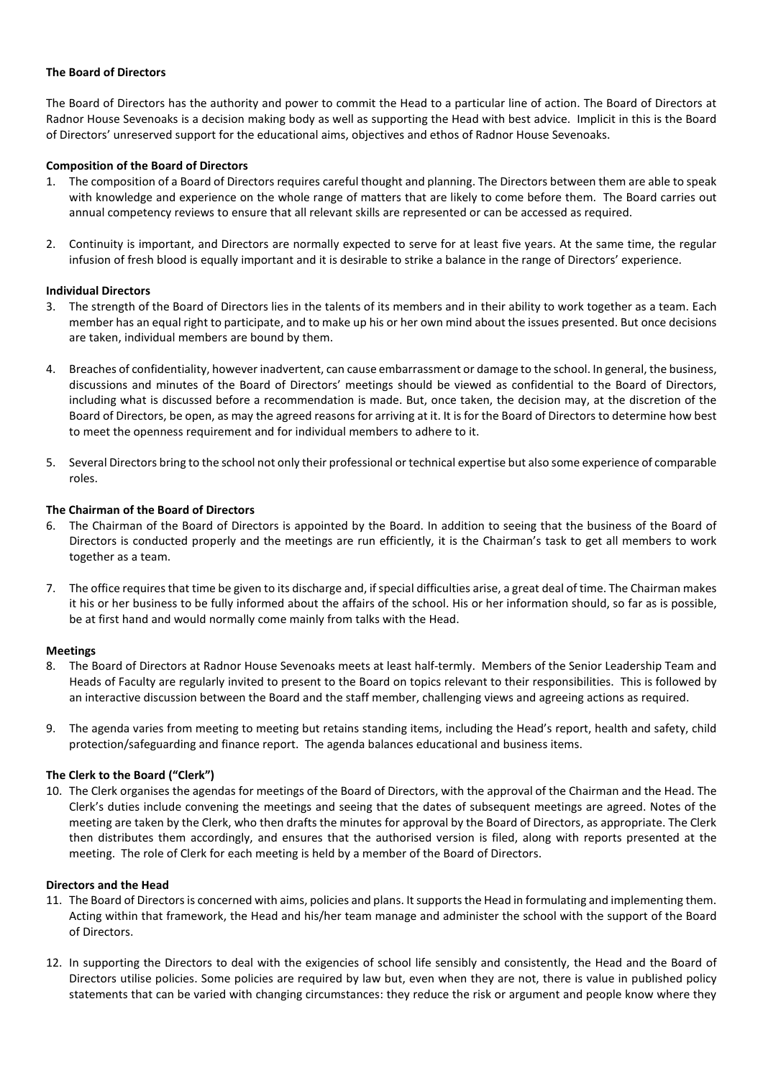### **The Board of Directors**

The Board of Directors has the authority and power to commit the Head to a particular line of action. The Board of Directors at Radnor House Sevenoaks is a decision making body as well as supporting the Head with best advice. Implicit in this is the Board of Directors' unreserved support for the educational aims, objectives and ethos of Radnor House Sevenoaks.

## **Composition of the Board of Directors**

- 1. The composition of a Board of Directors requires careful thought and planning. The Directors between them are able to speak with knowledge and experience on the whole range of matters that are likely to come before them. The Board carries out annual competency reviews to ensure that all relevant skills are represented or can be accessed as required.
- 2. Continuity is important, and Directors are normally expected to serve for at least five years. At the same time, the regular infusion of fresh blood is equally important and it is desirable to strike a balance in the range of Directors' experience.

### **Individual Directors**

- 3. The strength of the Board of Directors lies in the talents of its members and in their ability to work together as a team. Each member has an equal right to participate, and to make up his or her own mind about the issues presented. But once decisions are taken, individual members are bound by them.
- 4. Breaches of confidentiality, however inadvertent, can cause embarrassment or damage to the school. In general, the business, discussions and minutes of the Board of Directors' meetings should be viewed as confidential to the Board of Directors, including what is discussed before a recommendation is made. But, once taken, the decision may, at the discretion of the Board of Directors, be open, as may the agreed reasons for arriving at it. It is for the Board of Directors to determine how best to meet the openness requirement and for individual members to adhere to it.
- 5. Several Directors bring to the school not only their professional or technical expertise but also some experience of comparable roles.

## **The Chairman of the Board of Directors**

- 6. The Chairman of the Board of Directors is appointed by the Board. In addition to seeing that the business of the Board of Directors is conducted properly and the meetings are run efficiently, it is the Chairman's task to get all members to work together as a team.
- 7. The office requires that time be given to its discharge and, if special difficulties arise, a great deal of time. The Chairman makes it his or her business to be fully informed about the affairs of the school. His or her information should, so far as is possible, be at first hand and would normally come mainly from talks with the Head.

### **Meetings**

- 8. The Board of Directors at Radnor House Sevenoaks meets at least half-termly. Members of the Senior Leadership Team and Heads of Faculty are regularly invited to present to the Board on topics relevant to their responsibilities. This is followed by an interactive discussion between the Board and the staff member, challenging views and agreeing actions as required.
- 9. The agenda varies from meeting to meeting but retains standing items, including the Head's report, health and safety, child protection/safeguarding and finance report. The agenda balances educational and business items.

### **The Clerk to the Board ("Clerk")**

10. The Clerk organises the agendas for meetings of the Board of Directors, with the approval of the Chairman and the Head. The Clerk's duties include convening the meetings and seeing that the dates of subsequent meetings are agreed. Notes of the meeting are taken by the Clerk, who then drafts the minutes for approval by the Board of Directors, as appropriate. The Clerk then distributes them accordingly, and ensures that the authorised version is filed, along with reports presented at the meeting. The role of Clerk for each meeting is held by a member of the Board of Directors.

### **Directors and the Head**

- 11. The Board of Directors is concerned with aims, policies and plans. It supports the Head in formulating and implementing them. Acting within that framework, the Head and his/her team manage and administer the school with the support of the Board of Directors.
- 12. In supporting the Directors to deal with the exigencies of school life sensibly and consistently, the Head and the Board of Directors utilise policies. Some policies are required by law but, even when they are not, there is value in published policy statements that can be varied with changing circumstances: they reduce the risk or argument and people know where they